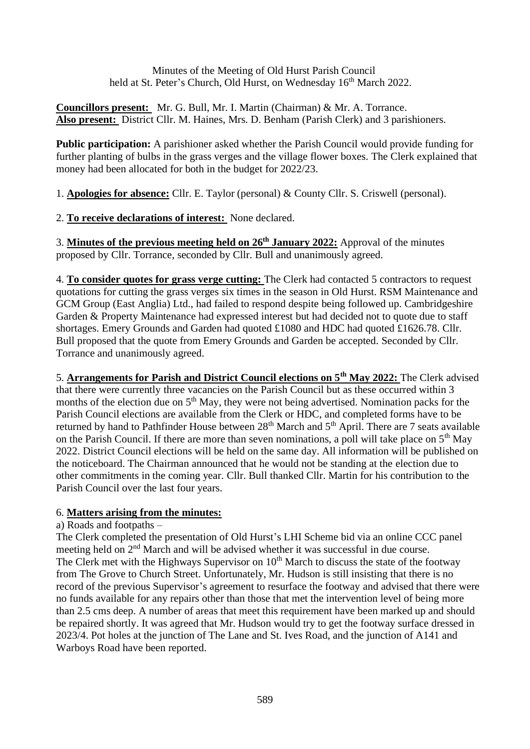Minutes of the Meeting of Old Hurst Parish Council held at St. Peter's Church, Old Hurst, on Wednesday 16<sup>th</sup> March 2022.

**Councillors present:** Mr. G. Bull, Mr. I. Martin (Chairman) & Mr. A. Torrance. **Also present:** District Cllr. M. Haines, Mrs. D. Benham (Parish Clerk) and 3 parishioners.

**Public participation:** A parishioner asked whether the Parish Council would provide funding for further planting of bulbs in the grass verges and the village flower boxes. The Clerk explained that money had been allocated for both in the budget for 2022/23.

1. **Apologies for absence:** Cllr. E. Taylor (personal) & County Cllr. S. Criswell (personal).

2. **To receive declarations of interest:** None declared.

3. **Minutes of the previous meeting held on 26<sup>th</sup> January 2022:** Approval of the minutes proposed by Cllr. Torrance, seconded by Cllr. Bull and unanimously agreed.

4. **To consider quotes for grass verge cutting:** The Clerk had contacted 5 contractors to request quotations for cutting the grass verges six times in the season in Old Hurst. RSM Maintenance and GCM Group (East Anglia) Ltd., had failed to respond despite being followed up. Cambridgeshire Garden & Property Maintenance had expressed interest but had decided not to quote due to staff shortages. Emery Grounds and Garden had quoted £1080 and HDC had quoted £1626.78. Cllr. Bull proposed that the quote from Emery Grounds and Garden be accepted. Seconded by Cllr. Torrance and unanimously agreed.

5. **Arrangements for Parish and District Council elections on 5th May 2022:** The Clerk advised that there were currently three vacancies on the Parish Council but as these occurred within 3 months of the election due on  $5<sup>th</sup>$  May, they were not being advertised. Nomination packs for the Parish Council elections are available from the Clerk or HDC, and completed forms have to be returned by hand to Pathfinder House between 28<sup>th</sup> March and 5<sup>th</sup> April. There are 7 seats available on the Parish Council. If there are more than seven nominations, a poll will take place on  $5<sup>th</sup>$  May 2022. District Council elections will be held on the same day. All information will be published on the noticeboard. The Chairman announced that he would not be standing at the election due to other commitments in the coming year. Cllr. Bull thanked Cllr. Martin for his contribution to the Parish Council over the last four years.

## 6. **Matters arising from the minutes:**

a) Roads and footpaths –

The Clerk completed the presentation of Old Hurst's LHI Scheme bid via an online CCC panel meeting held on  $2<sup>nd</sup>$  March and will be advised whether it was successful in due course. The Clerk met with the Highways Supervisor on  $10<sup>th</sup>$  March to discuss the state of the footway from The Grove to Church Street. Unfortunately, Mr. Hudson is still insisting that there is no record of the previous Supervisor's agreement to resurface the footway and advised that there were no funds available for any repairs other than those that met the intervention level of being more than 2.5 cms deep. A number of areas that meet this requirement have been marked up and should be repaired shortly. It was agreed that Mr. Hudson would try to get the footway surface dressed in 2023/4. Pot holes at the junction of The Lane and St. Ives Road, and the junction of A141 and Warboys Road have been reported.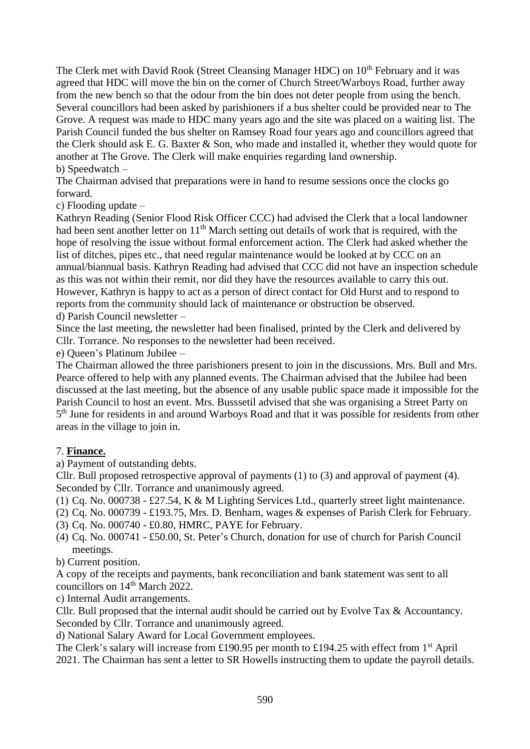The Clerk met with David Rook (Street Cleansing Manager HDC) on 10<sup>th</sup> February and it was agreed that HDC will move the bin on the corner of Church Street/Warboys Road, further away from the new bench so that the odour from the bin does not deter people from using the bench. Several councillors had been asked by parishioners if a bus shelter could be provided near to The Grove. A request was made to HDC many years ago and the site was placed on a waiting list. The Parish Council funded the bus shelter on Ramsey Road four years ago and councillors agreed that the Clerk should ask E. G. Baxter & Son, who made and installed it, whether they would quote for another at The Grove. The Clerk will make enquiries regarding land ownership. b) Speedwatch –

The Chairman advised that preparations were in hand to resume sessions once the clocks go forward.

c) Flooding update –

Kathryn Reading (Senior Flood Risk Officer CCC) had advised the Clerk that a local landowner had been sent another letter on 11<sup>th</sup> March setting out details of work that is required, with the hope of resolving the issue without formal enforcement action. The Clerk had asked whether the list of ditches, pipes etc., that need regular maintenance would be looked at by CCC on an annual/biannual basis. Kathryn Reading had advised that CCC did not have an inspection schedule as this was not within their remit, nor did they have the resources available to carry this out. However, Kathryn is happy to act as a person of direct contact for Old Hurst and to respond to reports from the community should lack of maintenance or obstruction be observed.

d) Parish Council newsletter –

Since the last meeting, the newsletter had been finalised, printed by the Clerk and delivered by Cllr. Torrance. No responses to the newsletter had been received.

e) Queen's Platinum Jubilee –

The Chairman allowed the three parishioners present to join in the discussions. Mrs. Bull and Mrs. Pearce offered to help with any planned events. The Chairman advised that the Jubilee had been discussed at the last meeting, but the absence of any usable public space made it impossible for the Parish Council to host an event. Mrs. Busssetil advised that she was organising a Street Party on 5<sup>th</sup> June for residents in and around Warboys Road and that it was possible for residents from other areas in the village to join in.

## 7. **Finance.**

a) Payment of outstanding debts.

Cllr. Bull proposed retrospective approval of payments (1) to (3) and approval of payment (4). Seconded by Cllr. Torrance and unanimously agreed.

(1) Cq. No. 000738 - £27.54, K & M Lighting Services Ltd., quarterly street light maintenance.

(2) Cq. No. 000739 - £193.75, Mrs. D. Benham, wages & expenses of Parish Clerk for February.

- (3) Cq. No. 000740 £0.80, HMRC, PAYE for February.
- (4) Cq. No. 000741 £50.00, St. Peter's Church, donation for use of church for Parish Council meetings.

b) Current position.

A copy of the receipts and payments, bank reconciliation and bank statement was sent to all councillors on 14<sup>th</sup> March 2022.

c) Internal Audit arrangements.

Cllr. Bull proposed that the internal audit should be carried out by Evolve Tax & Accountancy. Seconded by Cllr. Torrance and unanimously agreed.

d) National Salary Award for Local Government employees.

The Clerk's salary will increase from £190.95 per month to £194.25 with effect from  $1<sup>st</sup>$  April 2021. The Chairman has sent a letter to SR Howells instructing them to update the payroll details.